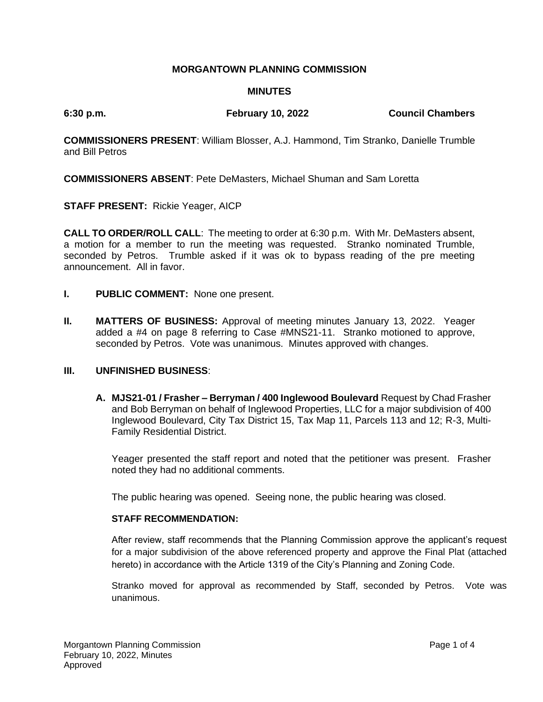# **MORGANTOWN PLANNING COMMISSION**

# **MINUTES**

**6:30 p.m. February 10, 2022 Council Chambers**

**COMMISSIONERS PRESENT**: William Blosser, A.J. Hammond, Tim Stranko, Danielle Trumble and Bill Petros

**COMMISSIONERS ABSENT**: Pete DeMasters, Michael Shuman and Sam Loretta

**STAFF PRESENT:** Rickie Yeager, AICP

**CALL TO ORDER/ROLL CALL**: The meeting to order at 6:30 p.m. With Mr. DeMasters absent, a motion for a member to run the meeting was requested. Stranko nominated Trumble, seconded by Petros. Trumble asked if it was ok to bypass reading of the pre meeting announcement. All in favor.

- **I. PUBLIC COMMENT:** None one present.
- **II. MATTERS OF BUSINESS:** Approval of meeting minutes January 13, 2022. Yeager added a #4 on page 8 referring to Case #MNS21-11. Stranko motioned to approve, seconded by Petros. Vote was unanimous. Minutes approved with changes.

# **III. UNFINISHED BUSINESS**:

**A. MJS21-01 / Frasher – Berryman / 400 Inglewood Boulevard** Request by Chad Frasher and Bob Berryman on behalf of Inglewood Properties, LLC for a major subdivision of 400 Inglewood Boulevard, City Tax District 15, Tax Map 11, Parcels 113 and 12; R-3, Multi-Family Residential District.

Yeager presented the staff report and noted that the petitioner was present. Frasher noted they had no additional comments.

The public hearing was opened. Seeing none, the public hearing was closed.

#### **STAFF RECOMMENDATION:**

After review, staff recommends that the Planning Commission approve the applicant's request for a major subdivision of the above referenced property and approve the Final Plat (attached hereto) in accordance with the Article 1319 of the City's Planning and Zoning Code.

Stranko moved for approval as recommended by Staff, seconded by Petros. Vote was unanimous.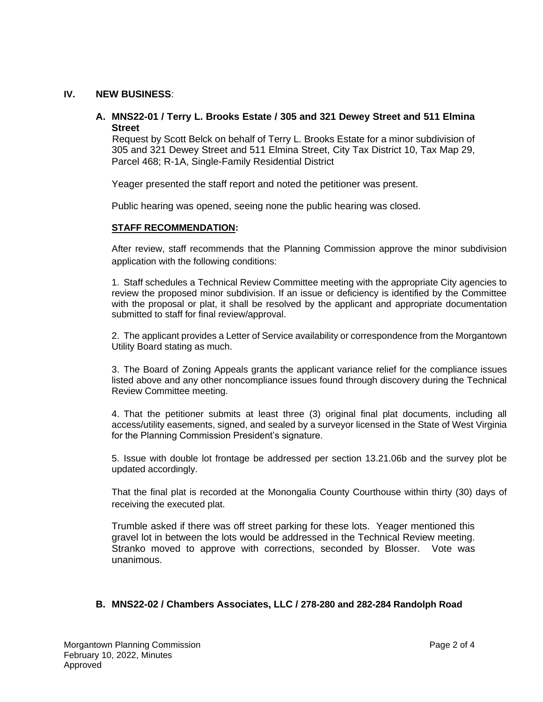## **IV. NEW BUSINESS**:

# **A. MNS22-01 / Terry L. Brooks Estate / 305 and 321 Dewey Street and 511 Elmina Street**

 Request by Scott Belck on behalf of Terry L. Brooks Estate for a minor subdivision of 305 and 321 Dewey Street and 511 Elmina Street, City Tax District 10, Tax Map 29, Parcel 468; R-1A, Single-Family Residential District

Yeager presented the staff report and noted the petitioner was present.

Public hearing was opened, seeing none the public hearing was closed.

## **STAFF RECOMMENDATION:**

After review, staff recommends that the Planning Commission approve the minor subdivision application with the following conditions:

1. Staff schedules a Technical Review Committee meeting with the appropriate City agencies to review the proposed minor subdivision. If an issue or deficiency is identified by the Committee with the proposal or plat, it shall be resolved by the applicant and appropriate documentation submitted to staff for final review/approval.

2. The applicant provides a Letter of Service availability or correspondence from the Morgantown Utility Board stating as much.

3. The Board of Zoning Appeals grants the applicant variance relief for the compliance issues listed above and any other noncompliance issues found through discovery during the Technical Review Committee meeting.

4. That the petitioner submits at least three (3) original final plat documents, including all access/utility easements, signed, and sealed by a surveyor licensed in the State of West Virginia for the Planning Commission President's signature.

5. Issue with double lot frontage be addressed per section 13.21.06b and the survey plot be updated accordingly.

That the final plat is recorded at the Monongalia County Courthouse within thirty (30) days of receiving the executed plat.

Trumble asked if there was off street parking for these lots. Yeager mentioned this gravel lot in between the lots would be addressed in the Technical Review meeting. Stranko moved to approve with corrections, seconded by Blosser. Vote was unanimous.

# **B. MNS22-02 / Chambers Associates, LLC / 278-280 and 282-284 Randolph Road**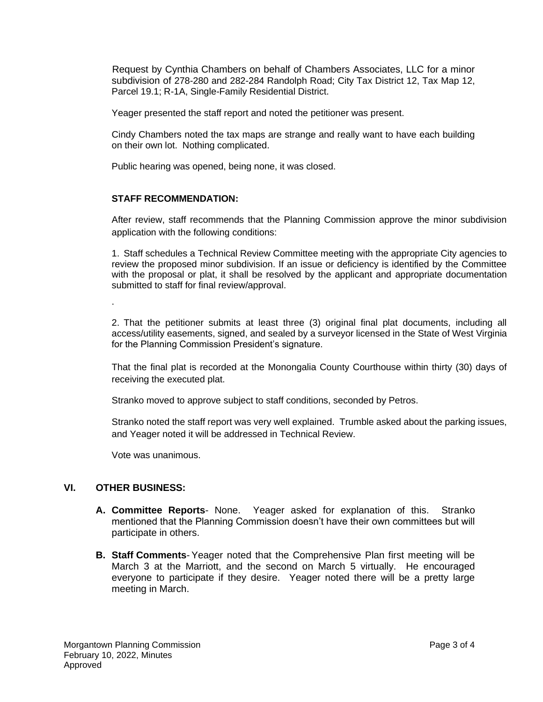Request by Cynthia Chambers on behalf of Chambers Associates, LLC for a minor subdivision of 278-280 and 282-284 Randolph Road; City Tax District 12, Tax Map 12, Parcel 19.1; R-1A, Single-Family Residential District.

Yeager presented the staff report and noted the petitioner was present.

Cindy Chambers noted the tax maps are strange and really want to have each building on their own lot. Nothing complicated.

Public hearing was opened, being none, it was closed.

#### **STAFF RECOMMENDATION:**

After review, staff recommends that the Planning Commission approve the minor subdivision application with the following conditions:

1. Staff schedules a Technical Review Committee meeting with the appropriate City agencies to review the proposed minor subdivision. If an issue or deficiency is identified by the Committee with the proposal or plat, it shall be resolved by the applicant and appropriate documentation submitted to staff for final review/approval.

2. That the petitioner submits at least three (3) original final plat documents, including all access/utility easements, signed, and sealed by a surveyor licensed in the State of West Virginia for the Planning Commission President's signature.

That the final plat is recorded at the Monongalia County Courthouse within thirty (30) days of receiving the executed plat.

Stranko moved to approve subject to staff conditions, seconded by Petros.

Stranko noted the staff report was very well explained. Trumble asked about the parking issues, and Yeager noted it will be addressed in Technical Review.

Vote was unanimous.

## **VI. OTHER BUSINESS:**

.

- **A. Committee Reports** None. Yeager asked for explanation of this. Stranko mentioned that the Planning Commission doesn't have their own committees but will participate in others.
- **B. Staff Comments** Yeager noted that the Comprehensive Plan first meeting will be March 3 at the Marriott, and the second on March 5 virtually. He encouraged everyone to participate if they desire. Yeager noted there will be a pretty large meeting in March.